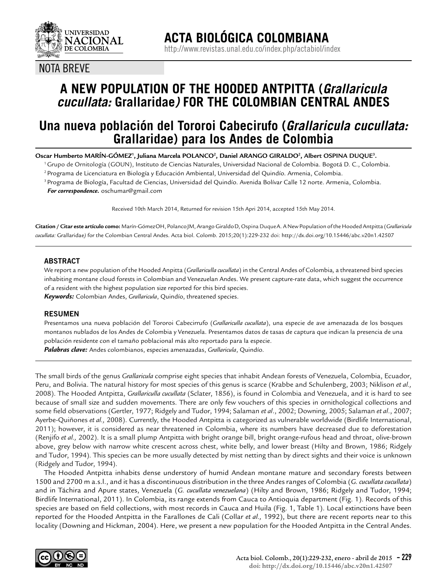

### NOTA BREVE

# **A NEW POPULATION OF THE HOODED ANTPITTA (***Grallaricula cucullata:* **Grallaridae***)* **FOR THE COLOMBIAN CENTRAL ANDES**

## **Una nueva población del Tororoi Cabecirufo (***Grallaricula cucullata:*  **Grallaridae) para los Andes de Colombia**

 $\rm{Oscar}$  Humberto MARÍN-GÓMEZ', Juliana Marcela POLANCO $^2$ , Daniel ARANGO GIRALDO $^2$ , Albert OSPINA DUQUE $^3$ .

1 Grupo de Ornitología (GOUN), Instituto de Ciencias Naturales, Universidad Nacional de Colombia. Bogotá D. C., Colombia.

2 Programa de Licenciatura en Biología y Educación Ambiental, Universidad del Quindío. Armenia, Colombia.

3 Programa de Biología, Facultad de Ciencias, Universidad del Quindío. Avenida Bolívar Calle 12 norte. Armenia, Colombia.  *For correspondence.* oschumar@gmail.com

Received 10th March 2014, Returned for revision 15th Apri 2014, accepted 15th May 2014.

**Citation / Citar este artículo como:** Marín-GómezOH, PolancoJM, Arango GiraldoD, Ospina DuqueA. A New Population of the Hooded Antpitta (*Grallaricula cucullata:* Grallaridae*)* for the Colombian Central Andes. Acta biol. Colomb. 2015;20(1):229-232 doi: http://dx.doi.org/10.15446/abc.v20n1.42507

#### **ABSTRACT**

We report a new population of the Hooded Anpitta (*Grallariculla cucullata*) in the Central Andes of Colombia*,* a threatened bird species inhabiting montane cloud forests in Colombian and Venezuelan Andes. We present capture-rate data, which suggest the occurrence of a resident with the highest population size reported for this bird species. *Keywords:* Colombian Andes, *Grallaricula*, Quindío, threatened species.

#### **RESUMEN**

Presentamos una nueva población del Tororoi Cabecirrufo (*Grallariculla cucullata*), una especie de ave amenazada de los bosques montanos nublados de los Andes de Colombia y Venezuela. Presentamos datos de tasas de captura que indican la presencia de una población residente con el tamaño poblacional más alto reportado para la especie.

*Palabras clave:* Andes colombianos, especies amenazadas, *Grallaricula*, Quindío.

The small birds of the genus *Grallaricula* comprise eight species that inhabit Andean forests of Venezuela, Colombia, Ecuador, Peru, and Bolivia. The natural history for most species of this genus is scarce (Krabbe and Schulenberg, 2003; Niklison *et al.,* 2008). The Hooded Antpitta, *Grallariculla cucullata* (Sclater, 1856), is found in Colombia and Venezuela, and it is hard to see because of small size and sudden movements. There are only few vouchers of this species in ornithological collections and some field observations (Gertler, 1977; Ridgely and Tudor, 1994; Salaman *et al*., 2002; Downing, 2005; Salaman *et al*., 2007; Ayerbe-Quiñones *et al.,* 2008). Currently, the Hooded Antpitta is categorized as vulnerable worldwide (Birdlife International, 2011); however, it is considered as near threatened in Colombia, where its numbers have decreased due to deforestation (Renjifo *et al.,* 2002). It is a small plump Antpitta with bright orange bill, bright orange-rufous head and throat, olive-brown above, grey below with narrow white crescent across chest, white belly, and lower breast (Hilty and Brown, 1986; Ridgely and Tudor, 1994). This species can be more usually detected by mist netting than by direct sights and their voice is unknown (Ridgely and Tudor, 1994).

The Hooded Antpitta inhabits dense understory of humid Andean montane mature and secondary forests between 1500 and 2700 m a.s.l., and it has a discontinuous distribution in the three Andes ranges of Colombia (*G. cucullata cucullata*) and in Táchira and Apure states, Venezuela (*G. cucullata venezuelana*) (Hilty and Brown, 1986; Ridgely and Tudor, 1994; Birdlife International, 2011). In Colombia, its range extends from Cauca to Antioquia department (Fig. 1). Records of this species are based on field collections, with most records in Cauca and Huila (Fig. 1, Table 1). Local extinctions have been reported for the Hooded Antpitta in the Farallones de Cali (Collar *et al.,* 1992), but there are recent reports near to this locality (Downing and Hickman, 2004). Here, we present a new population for the Hooded Antpitta in the Central Andes.

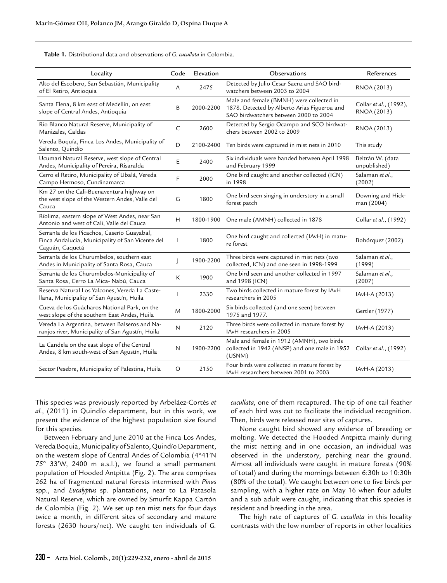**Table 1.** Distributional data and observations of *G. cucullata* in Colombia.

| Locality                                                                                                           | Code         | Elevation | Observations                                                                                                                      | References                            |
|--------------------------------------------------------------------------------------------------------------------|--------------|-----------|-----------------------------------------------------------------------------------------------------------------------------------|---------------------------------------|
| Alto del Escobero, San Sebastián, Municipality<br>of El Retiro, Antioquia                                          | A            | 2475      | Detected by Julio Cesar Saenz and SAO bird-<br>watchers between 2003 to 2004                                                      | RNOA (2013)                           |
| Santa Elena, 8 km east of Medellín, on east<br>slope of Central Andes, Antioquia                                   | B            | 2000-2200 | Male and female (BMNH) were collected in<br>1878. Detected by Alberto Arias Figueroa and<br>SAO birdwatchers between 2000 to 2004 | Collar et al., (1992),<br>RNOA (2013) |
| Rio Blanco Natural Reserve, Municipality of<br>Manizales, Caldas                                                   | $\mathsf{C}$ | 2600      | Detected by Sergio Ocampo and SCO birdwat-<br>chers between 2002 to 2009                                                          | RNOA (2013)                           |
| Vereda Boquía, Finca Los Andes, Municipality of<br>Salento, Quindío                                                | D            | 2100-2400 | Ten birds were captured in mist nets in 2010                                                                                      | This study                            |
| Ucumarí Natural Reserve, west slope of Central<br>Andes, Municipality of Pereira, Risaralda                        | E            | 2400      | Six individuals were banded between April 1998<br>and February 1999                                                               | Beltrán W. (data<br>unpublished)      |
| Cerro el Retiro, Municipality of Ubalá, Vereda<br>Campo Hermoso, Cundinamarca                                      | F            | 2000      | One bird caught and another collected (ICN)<br>in 1998                                                                            | Salaman et al.,<br>(2002)             |
| Km 27 on the Cali-Buenaventura highway on<br>the west slope of the Western Andes, Valle del<br>Cauca               | G            | 1800      | One bird seen singing in understory in a small<br>forest patch                                                                    | Downing and Hick-<br>man (2004)       |
| Ríolima, eastern slope of West Andes, near San<br>Antonio and west of Cali, Valle del Cauca                        | H            | 1800-1900 | One male (AMNH) collected in 1878                                                                                                 | Collar et al., (1992)                 |
| Serranía de los Picachos, Caserío Guayabal,<br>Finca Andalucía, Municipality of San Vicente del<br>Caguán, Caquetá | $\mathbf{I}$ | 1800      | One bird caught and collected (IAvH) in matu-<br>re forest                                                                        | Bohórquez (2002)                      |
| Serranía de los Churumbelos, southern east<br>Andes in Municipality of Santa Rosa, Cauca                           | $\mathbf{I}$ | 1900-2200 | Three birds were captured in mist nets (two<br>collected, ICN) and one seen in 1998-1999                                          | Salaman et al.,<br>(1999)             |
| Serranía de los Churumbelos-Municipality of<br>Santa Rosa, Cerro La Mica- Nabú, Cauca                              | К            | 1900      | One bird seen and another collected in 1997<br>and 1998 (ICN)                                                                     | Salaman et al.,<br>(2007)             |
| Reserva Natural Los Yalcones, Vereda La Caste-<br>llana, Municipality of San Agustín, Huila                        | L            | 2330      | Two birds collected in mature forest by IAvH<br>researchers in 2005                                                               | IAvH-A (2013)                         |
| Cueva de los Guácharos National Park, on the<br>west slope of the southern East Andes, Huila                       | M            | 1800-2000 | Six birds collected (and one seen) between<br>1975 and 1977.                                                                      | Gertler (1977)                        |
| Vereda La Argentina, between Balseros and Na-<br>ranjos river, Municipality of San Agustín, Huila                  | N            | 2120      | Three birds were collected in mature forest by<br>IA <sub>v</sub> H researchers in 2005                                           | IAvH-A (2013)                         |
| La Candela on the east slope of the Central<br>Andes, 8 km south-west of San Agustín, Huila                        | N            | 1900-2200 | Male and female in 1912 (AMNH), two birds<br>collected in 1942 (ANSP) and one male in 1952<br>(USNM)                              | Collar et al., (1992)                 |
| Sector Pesebre, Municipality of Palestina, Huila                                                                   | O            | 2150      | Four birds were collected in mature forest by<br>IA <sub>v</sub> H researchers between 2001 to 2003                               | IAvH-A (2013)                         |

This species was previously reported by Arbeláez-Cortés *et al.,* (2011) in Quindío department, but in this work, we present the evidence of the highest population size found for this species.

Between February and June 2010 at the Finca Los Andes, Vereda Boquia, Municipality of Salento, Quindío Department, on the western slope of Central Andes of Colombia (4º41'N 75º 33'W, 2400 m a.s.l.), we found a small permanent population of Hooded Antpitta (Fig. 2). The area comprises 262 ha of fragmented natural forests intermixed with *Pinus*  spp., and *Eucalyptus* sp. plantations, near to La Patasola Natural Reserve, which are owned by Smurfit Kappa Cartón de Colombia (Fig. 2). We set up ten mist nets for four days twice a month, in different sites of secondary and mature forests (2630 hours/net). We caught ten individuals of *G.* 

*cucullata,* one of them recaptured. The tip of one tail feather of each bird was cut to facilitate the individual recognition. Then, birds were released near sites of captures.

None caught bird showed any evidence of breeding or molting. We detected the Hooded Antpitta mainly during the mist netting and in one occasion, an individual was observed in the understory, perching near the ground. Almost all individuals were caught in mature forests (90% of total) and during the mornings between 6:30h to 10:30h (80% of the total). We caught between one to five birds per sampling, with a higher rate on May 16 when four adults and a sub adult were caught, indicating that this species is resident and breeding in the area.

The high rate of captures of *G. cucullata* in this locality contrasts with the low number of reports in other localities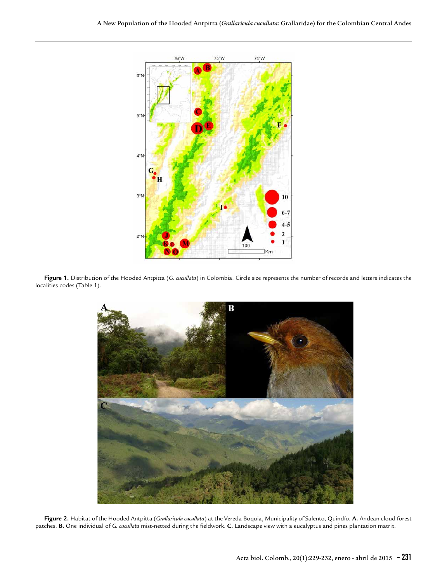

**Figure 1.** Distribution of the Hooded Antpitta (*G. cucullata*) in Colombia. Circle size represents the number of records and letters indicates the localities codes (Table 1).



**Figure 2.** Habitat of the Hooded Antpitta (*Grallaricula cucullata*) at the Vereda Boquia, Municipality of Salento, Quindío. **A.** Andean cloud forest patches. **B.** One individual of *G. cucullata* mist-netted during the fieldwork. **C.** Landscape view with a eucalyptus and pines plantation matrix.